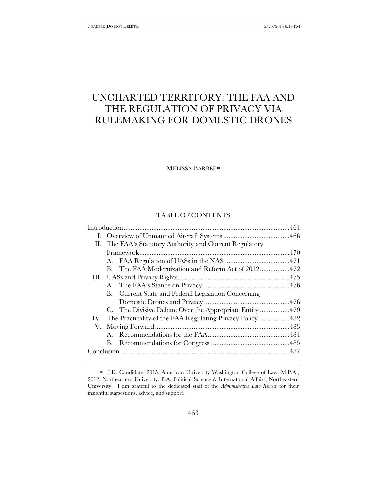# UNCHARTED TERRITORY: THE FAA AND THE REGULATION OF PRIVACY VIA RULEMAKING FOR DOMESTIC DRONES

MELISSA BARBEE[∗](#page-0-0)

# TABLE OF CONTENTS

| П. | The FAA's Statutory Authority and Current Regulatory |                                                       |  |
|----|------------------------------------------------------|-------------------------------------------------------|--|
|    |                                                      |                                                       |  |
|    |                                                      |                                                       |  |
|    |                                                      | B. The FAA Modernization and Reform Act of 2012472    |  |
|    |                                                      |                                                       |  |
|    |                                                      |                                                       |  |
|    |                                                      | B. Current State and Federal Legislation Concerning   |  |
|    |                                                      |                                                       |  |
|    |                                                      | C. The Divisive Debate Over the Appropriate Entity479 |  |
|    |                                                      |                                                       |  |
|    |                                                      |                                                       |  |
|    |                                                      |                                                       |  |
|    |                                                      |                                                       |  |
|    |                                                      |                                                       |  |
|    |                                                      |                                                       |  |

<span id="page-0-0"></span><sup>∗</sup> J.D. Candidate, 2015, American University Washington College of Law; M.P.A., 2012, Northeastern University; B.A. Political Science & International Affairs, Northeastern University. I am grateful to the dedicated staff of the *Administrative Law Review* for their insightful suggestions, advice, and support.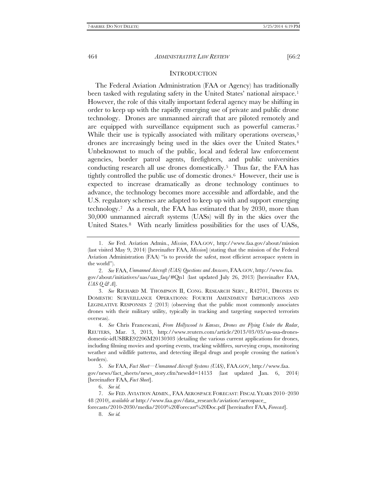# <span id="page-1-8"></span>**INTRODUCTION**

The Federal Aviation Administration (FAA or Agency) has traditionally been tasked with regulating safety in the United States' national airspace.<sup>1</sup> However, the role of this vitally important federal agency may be shifting in order to keep up with the rapidly emerging use of private and public drone technology. Drones are unmanned aircraft that are piloted remotely and are equipped with surveillance equipment such as powerful cameras[.2](#page-1-1)  While their use is typically associated with military operations overseas,<sup>3</sup> drones are increasingly being used in the skies over the United States[.4](#page-1-3)  Unbeknownst to much of the public, local and federal law enforcement agencies, border patrol agents, firefighters, and public universities conducting research all use drones domestically.[5](#page-1-4) Thus far, the FAA has tightly controlled the public use of domestic drones.[6](#page-1-5) However, their use is expected to increase dramatically as drone technology continues to advance, the technology becomes more accessible and affordable, and the U.S. regulatory schemes are adapted to keep up with and support emerging technology[.7](#page-1-6) As a result, the FAA has estimated that by 2030, more than 30,000 unmanned aircraft systems (UASs) will fly in the skies over the United States.<sup>8</sup> With nearly limitless possibilities for the uses of UASs,

<span id="page-1-2"></span>3. *See* RICHARD M. THOMPSON II, CONG. RESEARCH SERV., R42701, DRONES IN DOMESTIC SURVEILLANCE OPERATIONS: FOURTH AMENDMENT IMPLICATIONS AND LEGISLATIVE RESPONSES 2 (2013) (observing that the public most commonly associates drones with their military utility, typically in tracking and targeting suspected terrorists overseas).

<span id="page-1-3"></span>4. *See* Chris Francescani, *From Hollywood to Kansas*, *Drones are Flying Under the Radar*, REUTERS, Mar. 3, 2013, http://www.reuters.com/article/2013/03/03/us-usa-dronesdomestic-idUSBRE92206M20130303 (detailing the various current applications for drones, including filming movies and sporting events, tracking wildfires, surveying crops, monitoring weather and wildlife patterns, and detecting illegal drugs and people crossing the nation's borders).

<span id="page-1-4"></span>5. *See* FAA, *Fact Sheet—Unmanned Aircraft Systems (UAS)*, FAA.GOV, http://www.faa. gov/news/fact\_sheets/news\_story.cfm?newsId=14153 (last updated Jan. 6, 2014) [hereinafter FAA, *Fact Sheet*].

6. *See id.* 

<span id="page-1-6"></span><span id="page-1-5"></span>7. *See* FED. AVIATION ADMIN., FAA AEROSPACE FORECAST: FISCAL YEARS 2010–2030 48 (2010), *available at* http://www.faa.gov/data\_research/aviation/aerospace\_

<span id="page-1-7"></span>forecasts/2010-2030/media/2010%20Forecast%20Doc.pdf [hereinafter FAA, *Forecast*]. 8. *See id.* 

<span id="page-1-0"></span><sup>1.</sup> *See* Fed. Aviation Admin., *Mission*, FAA.GOV, http://www.faa.gov/about/mission (last visited May 9, 2014) [hereinafter FAA, *Mission*] (stating that the mission of the Federal Aviation Administration (FAA) "is to provide the safest, most efficient aerospace system in the world").

<span id="page-1-1"></span><sup>2.</sup> *See* FAA, *Unmanned Aircraft (UAS) Questions and Answers*, FAA.GOV, http://www.faa. gov/about/initiatives/uas/uas\_faq/#Qn1 (last updated July 26, 2013) [hereinafter FAA, *UAS Q & A*].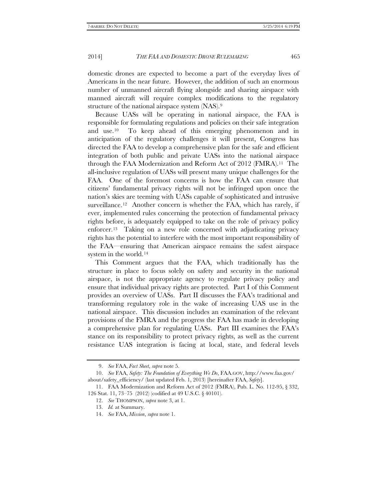domestic drones are expected to become a part of the everyday lives of Americans in the near future. However, the addition of such an enormous number of unmanned aircraft flying alongside and sharing airspace with manned aircraft will require complex modifications to the regulatory structure of the national airspace system (NAS).[9](#page-2-0)

Because UASs will be operating in national airspace, the FAA is responsible for formulating regulations and policies on their safe integration and use.[10](#page-2-1) To keep ahead of this emerging phenomenon and in anticipation of the regulatory challenges it will present, Congress has directed the FAA to develop a comprehensive plan for the safe and efficient integration of both public and private UASs into the national airspace through the FAA Modernization and Reform Act of 2012 (FMRA).[11](#page-2-2) The all-inclusive regulation of UASs will present many unique challenges for the FAA. One of the foremost concerns is how the FAA can ensure that citizens' fundamental privacy rights will not be infringed upon once the nation's skies are teeming with UASs capable of sophisticated and intrusive surveillance.<sup>[12](#page-2-3)</sup> Another concern is whether the FAA, which has rarely, if ever, implemented rules concerning the protection of fundamental privacy rights before, is adequately equipped to take on the role of privacy policy enforcer.[13](#page-2-4) Taking on a new role concerned with adjudicating privacy rights has the potential to interfere with the most important responsibility of the FAA—ensuring that American airspace remains the safest airspace system in the world.[14](#page-2-5)

This Comment argues that the FAA, which traditionally has the structure in place to focus solely on safety and security in the national airspace, is not the appropriate agency to regulate privacy policy and ensure that individual privacy rights are protected. Part I of this Comment provides an overview of UASs. Part II discusses the FAA's traditional and transforming regulatory role in the wake of increasing UAS use in the national airspace. This discussion includes an examination of the relevant provisions of the FMRA and the progress the FAA has made in developing a comprehensive plan for regulating UASs. Part III examines the FAA's stance on its responsibility to protect privacy rights, as well as the current resistance UAS integration is facing at local, state, and federal levels

<sup>9.</sup> *See* FAA, *Fact Sheet*, *supra* note 5.

<span id="page-2-1"></span><span id="page-2-0"></span><sup>10.</sup> *See* FAA, *Safety: The Foundation of Everything We Do*, FAA.GOV, http://www.faa.gov/ about/safety\_efficiency/ (last updated Feb. 1, 2013) [hereinafter FAA, *Safety*].

<span id="page-2-5"></span><span id="page-2-4"></span><span id="page-2-3"></span><span id="page-2-2"></span><sup>11.</sup> FAA Modernization and Reform Act of 2012 (FMRA), Pub. L. No. 112-95, § 332, 126 Stat. 11, 73–75 (2012) (codified at 49 U.S.C. § 40101).

<sup>12.</sup> *See* THOMPSON, *supra* note 3, at 1.

<sup>13.</sup> *Id.* at Summary.

<sup>14.</sup> *See* FAA, *Mission*, *supra* note 1.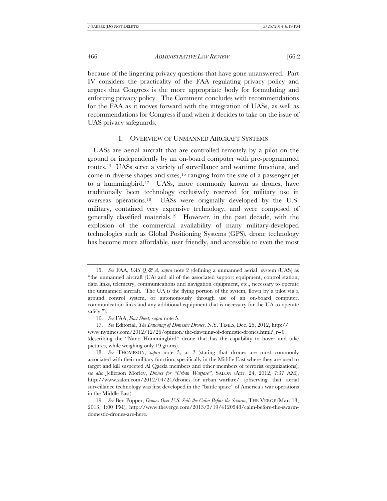because of the lingering privacy questions that have gone unanswered. Part IV considers the practicality of the FAA regulating privacy policy and argues that Congress is the more appropriate body for formulating and enforcing privacy policy. The Comment concludes with recommendations for the FAA as it moves forward with the integration of UASs, as well as recommendations for Congress if and when it decides to take on the issue of UAS privacy safeguards.

# <span id="page-3-5"></span>I. OVERVIEW OF UNMANNED AIRCRAFT SYSTEMS

UASs are aerial aircraft that are controlled remotely by a pilot on the ground or independently by an on-board computer with pre-programmed routes.[15](#page-3-0) UASs serve a variety of surveillance and wartime functions, and come in diverse shapes and sizes,  $16$  ranging from the size of a passenger jet to a hummingbird.[17](#page-3-2) UASs, more commonly known as drones, have traditionally been technology exclusively reserved for military use in overseas operations.[18](#page-3-3) UASs were originally developed by the U.S. military, contained very expensive technology, and were composed of generally classified materials.[19](#page-3-4) However, in the past decade, with the explosion of the commercial availability of many military-developed technologies such as Global Positioning Systems (GPS), drone technology has become more affordable, user friendly, and accessible to even the most

<span id="page-3-0"></span><sup>15.</sup> *See* FAA, *UAS Q & A*, *supra* note 2 (defining a unmanned aerial system (UAS) as "the unmanned aircraft (UA) and all of the associated support equipment, control station, data links, telemetry, communications and navigation equipment, etc., necessary to operate the unmanned aircraft. The UA is the flying portion of the system, flown by a pilot via a ground control system, or autonomously through use of an on-board computer, communication links and any additional equipment that is necessary for the UA to operate safely.").

<sup>16.</sup> *See* FAA, *Fact Sheet*, *supra* note 5.

<sup>17.</sup> *See* Editorial, *The Dawning of Domestic Drones*, N.Y. TIMES, Dec. 25, 2012, http://

<span id="page-3-2"></span><span id="page-3-1"></span>www.nytimes.com/2012/12/26/opinion/the-dawning-of-domestic-drones.html?\_r=0 (describing the "Nano Hummingbird" drone that has the capability to hover and take pictures, while weighing only 19 grams).

<span id="page-3-3"></span><sup>18.</sup> *See* THOMPSON, *supra* note 3, at 2 (stating that drones are most commonly associated with their military function, specifically in the Middle East where they are used to target and kill suspected Al Qaeda members and other members of terrorist organizations); *see also* Jefferson Morley, *Drones for "Urban Warfare"*, SALON (Apr. 24, 2012, 7:37 AM), http://www.salon.com/2012/04/24/drones\_for\_urban\_warfare/ (observing that aerial surveillance technology was first developed in the "battle space" of America's war operations in the Middle East).

<span id="page-3-4"></span><sup>19.</sup> *See* Ben Popper, *Drones Over U.S. Soil: the Calm Before the Swarm*, THE VERGE (Mar. 13, 2013, 1:00 PM), http://www.theverge.com/2013/3/19/4120548/calm-before-the-swarmdomestic-drones-are-here.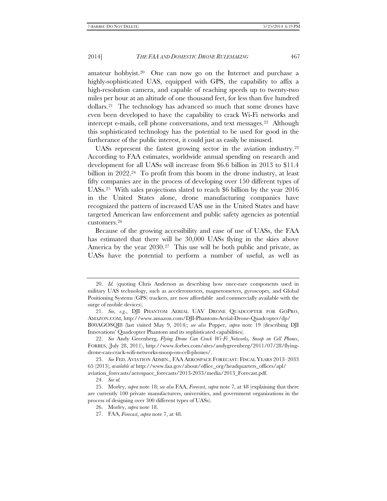amateur hobbyist.[20](#page-4-0) One can now go on the Internet and purchase a highly-sophisticated UAS, equipped with GPS, the capability to affix a high-resolution camera, and capable of reaching speeds up to twenty-two miles per hour at an altitude of one thousand feet, for less than five hundred dollars.[21](#page-4-1) The technology has advanced so much that some drones have even been developed to have the capability to crack Wi-Fi networks and intercept e-mails, cell phone conversations, and text messages.[22](#page-4-2) Although this sophisticated technology has the potential to be used for good in the furtherance of the public interest, it could just as easily be misused.

UASs represent the fastest growing sector in the aviation industry.[23](#page-4-3)  According to FAA estimates, worldwide annual spending on research and development for all UASs will increase from \$6.6 billion in 2013 to \$11.4 billion in 2022.<sup>24</sup> To profit from this boom in the drone industry, at least fifty companies are in the process of developing over 150 different types of UASs.[25](#page-4-5) With sales projections slated to reach \$6 billion by the year 2016 in the United States alone, drone manufacturing companies have recognized the pattern of increased UAS use in the United States and have targeted American law enforcement and public safety agencies as potential customers.[26](#page-4-6)

Because of the growing accessibility and ease of use of UASs, the FAA has estimated that there will be 30,000 UASs flying in the skies above America by the year 2030.<sup>27</sup> This use will be both public and private, as UASs have the potential to perform a number of useful, as well as

<span id="page-4-0"></span><sup>20.</sup> *Id.* (quoting Chris Anderson as describing how once-rare components used in military UAS technology, such as accelerometers, magnetometers, gyroscopes, and Global Positioning Systems (GPS) trackers, are now affordable and commercially available with the surge of mobile devices).

<span id="page-4-1"></span><sup>21.</sup> *See, e.g.*, DJI PHANTOM AERIAL UAV DRONE QUADCOPTER FOR GOPRO, AMAZON.COM, http://www.amazon.com/DJI-Phantom-Aerial-Drone-Quadcopter/dp/ B00AGOSQI8 (last visited May 9, 2014); *see also* Popper, *supra* note 19 (describing DJI Innovations' Quadcopter Phantom and its sophisticated capabilities).

<span id="page-4-2"></span><sup>22.</sup> *See* Andy Greenberg, *Flying Drone Can Crack Wi-Fi Networks, Snoop on Cell Phones*, FORBES, (July 28, 2011), http://www.forbes.com/sites/andygreenberg/2011/07/28/flyingdrone-can-crack-wifi-networks-snoop-on-cell-phones/.

<span id="page-4-3"></span><sup>23.</sup> *See* FED. AVIATION ADMIN., FAA AEROSPACE FORECAST: FISCAL YEARS 2013–2033 65 (2013), *available at* http://www.faa.gov/about/office\_org/headquarters\_offices/apl/

<span id="page-4-4"></span>aviation\_forecasts/aerospace\_forecasts/2013-2033/media/2013\_Forecast.pdf.

<sup>24.</sup> *See id.* 

<span id="page-4-7"></span><span id="page-4-6"></span><span id="page-4-5"></span><sup>25.</sup> Morley, *supra* note 18; *see also* FAA, *Forecast*, *supra* note 7, at 48 (explaining that there are currently 100 private manufacturers, universities, and government organizations in the process of designing over 300 different types of UASs).

<sup>26.</sup> Morley, *supra* note 18.

<sup>27.</sup> FAA, *Forecast*, *supra* note 7, at 48.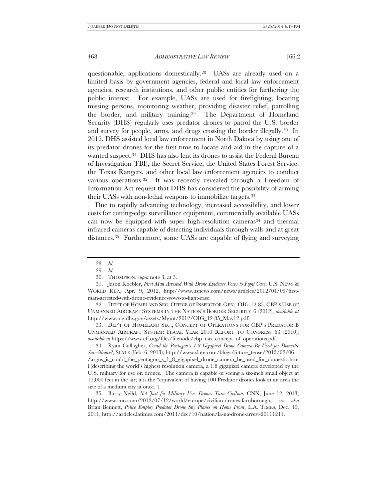questionable, applications domestically.[28](#page-5-0) UASs are already used on a limited basis by government agencies, federal and local law enforcement agencies, research institutions, and other public entities for furthering the public interest. For example, UASs are used for firefighting, locating missing persons, monitoring weather, providing disaster relief, patrolling the border, and military training.[29](#page-5-1) The Department of Homeland Security (DHS) regularly uses predator drones to patrol the U.S. border and survey for people, arms, and drugs crossing the border illegally[.30](#page-5-2) In 2012, DHS assisted local law enforcement in North Dakota by using one of its predator drones for the first time to locate and aid in the capture of a wanted suspect.<sup>31</sup> DHS has also lent its drones to assist the Federal Bureau of Investigation (FBI), the Secret Service, the United States Forest Service, the Texas Rangers, and other local law enforcement agencies to conduct various operations[.32](#page-5-4) It was recently revealed through a Freedom of Information Act request that DHS has considered the possibility of arming their UASs with non-lethal weapons to immobilize targets.[33](#page-5-5)

Due to rapidly advancing technology, increased accessibility, and lower costs for cutting-edge surveillance equipment, commercially available UASs can now be equipped with super high-resolution cameras<sup>[34](#page-5-6)</sup> and thermal infrared cameras capable of detecting individuals through walls and at great distances.[35](#page-5-7) Furthermore, some UASs are capable of flying and surveying

<span id="page-5-4"></span>32. DEP'T OF HOMELAND SEC. OFFICE OF INSPECTOR GEN., OIG-12-85, CBP'S USE OF UNMANNED AIRCRAFT SYSTEMS IN THE NATION'S BORDER SECURITY 6 (2012), *available at*  http://www.oig.dhs.gov/assets/Mgmt/2012/OIG\_12-85\_May12.pdf.

<span id="page-5-5"></span>33. DEP'T OF HOMELAND SEC., CONCEPT OF OPERATIONS FOR CBP'S PREDATOR B UNMANNED AIRCRAFT SYSTEM: FISCAL YEAR 2010 REPORT TO CONGRESS 63 (2010), *available at* https://www.eff.org/files/filenode/cbp\_uas\_concept\_of\_operations.pdf.

<span id="page-5-6"></span>34. Ryan Gallagher, *Could the Pentagon's 1.8 Gigapixel Drone Camera Be Used for Domestic Surveillance?*, SLATE (Feb. 6, 2013), http://www.slate.com/blogs/future\_tense/2013/02/06 /argus\_is\_could\_the\_pentagon\_s\_1\_8\_gigapixel\_drone\_camera\_be\_used\_for\_domestic.htm l (describing the world's highest resolution camera, a 1.8 gigapixel camera developed by the U.S. military for use on drones. The camera is capable of seeing a six-inch small object at 17,000 feet in the air; it is the "equivalent of having 100 Predator drones look at an area the size of a medium city at once.").

<span id="page-5-7"></span>35. Barry Neild, *Not Just for Military Use, Drones Turn Civilian*, CNN, June 12, 2013, http://www.cnn.com/2012/07/12/world/europe/civilian-drones-farnborough; *see also* Brian Bennett, *Police Employ Predator Drone Spy Planes on Home Front*, L.A. TIMES, Dec. 10, 2011, http://articles.latimes.com/2011/dec/10/nation/la-na-drone-arrest-20111211.

<sup>28.</sup> *Id.*

<sup>29.</sup> *Id.*

<sup>30.</sup> THOMPSON, *supra* note 3, at 3.

<span id="page-5-3"></span><span id="page-5-2"></span><span id="page-5-1"></span><span id="page-5-0"></span><sup>31.</sup> Jason Koebler, *First Man Arrested With Drone Evidence Vows to Fight Case*, U.S. NEWS & WORLD REP., Apr. 9, 2012, http://www.usnews.com/news/articles/2012/04/09/firstman-arrested-with-drone-evidence-vows-to-fight-case.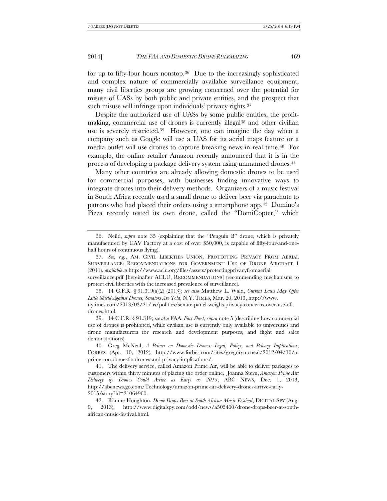for up to fifty-four hours nonstop.[36](#page-6-0) Due to the increasingly sophisticated and complex nature of commercially available surveillance equipment, many civil liberties groups are growing concerned over the potential for misuse of UASs by both public and private entities, and the prospect that such misuse will infringe upon individuals' privacy rights.<sup>[37](#page-6-1)</sup>

Despite the authorized use of UASs by some public entities, the profit-making, commercial use of drones is currently illegal<sup>[38](#page-6-2)</sup> and other civilian use is severely restricted.[39](#page-6-3) However, one can imagine the day when a company such as Google will use a UAS for its aerial maps feature or a media outlet will use drones to capture breaking news in real time.[40](#page-6-4) For example, the online retailer Amazon recently announced that it is in the process of developing a package delivery system using unmanned drones.<sup>[41](#page-6-5)</sup>

Many other countries are already allowing domestic drones to be used for commercial purposes, with businesses finding innovative ways to integrate drones into their delivery methods. Organizers of a music festival in South Africa recently used a small drone to deliver beer via parachute to patrons who had placed their orders using a smartphone app.[42](#page-6-6) Domino's Pizza recently tested its own drone, called the "DomiCopter," which

<span id="page-6-7"></span>

<span id="page-6-0"></span><sup>36.</sup> Neild, *supra* note 35 (explaining that the "Penguin B" drone, which is privately manufactured by UAV Factory at a cost of over \$50,000, is capable of fifty-four-and-onehalf hours of continuous flying).

<span id="page-6-1"></span><sup>37.</sup> *See, e.g.*, AM. CIVIL LIBERTIES UNION, PROTECTING PRIVACY FROM AERIAL SURVEILLANCE: RECOMMENDATIONS FOR GOVERNMENT USE OF DRONE AIRCRAFT 1 (2011), *available at* http://www.aclu.org/files/assets/protectingprivacyfromaerial

surveillance.pdf [hereinafter ACLU, RECOMMENDATIONS] (recommending mechanisms to protect civil liberties with the increased prevalence of surveillance).

<span id="page-6-2"></span><sup>38.</sup> 14 C.F.R. § 91.319(a)(2) (2013); *see also* Matthew L. Wald, *Current Laws May Offer Little Shield Against Drones, Senators Are Told*, N.Y. TIMES, Mar. 20, 2013, http://www. nytimes.com/2013/03/21/us/politics/senate-panel-weighs-privacy-concerns-over-use-ofdrones.html.

<span id="page-6-3"></span><sup>39.</sup> 14 C.F.R. § 91.319; *see also* FAA, *Fact Sheet*, *supra* note 5 (describing how commercial use of drones is prohibited, while civilian use is currently only available to universities and drone manufacturers for research and development purposes, and flight and sales demonstrations).

<span id="page-6-4"></span><sup>40.</sup> Greg McNeal, *A Primer on Domestic Drones: Legal, Policy, and Privacy Implications*, FORBES (Apr. 10, 2012), http://www.forbes.com/sites/gregorymcneal/2012/04/10/aprimer-on-domestic-drones-and-privacy-implications/.

<span id="page-6-5"></span><sup>41.</sup> The delivery service, called Amazon Prime Air, will be able to deliver packages to customers within thirty minutes of placing the order online. Joanna Stern, *Amazon Prime Air: Delivery by Drones Could Arrive as Early as 2015*, ABC NEWS, Dec. 1, 2013, http://abcnews.go.com/Technology/amazon-prime-air-delivery-drones-arrive-early-2015/story?id=21064960.

<span id="page-6-6"></span><sup>42.</sup> Rianne Houghton, *Drone Drops Beer at South African Music Festival*, DIGITAL SPY (Aug. 9, 2013), http://www.digitalspy.com/odd/news/a505460/drone-drops-beer-at-southafrican-music-festival.html.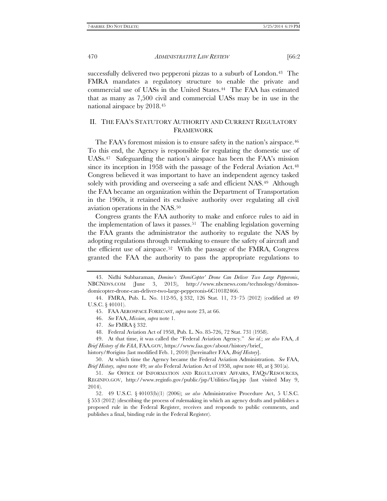successfully delivered two pepperoni pizzas to a suburb of London.<sup>43</sup> The FMRA mandates a regulatory structure to enable the private and commercial use of UASs in the United States.[44](#page-7-1) The FAA has estimated that as many as 7,500 civil and commercial UASs may be in use in the national airspace by 2018.[45](#page-7-2)

# II. THE FAA'S STATUTORY AUTHORITY AND CURRENT REGULATORY FRAMEWORK

The FAA's foremost mission is to ensure safety in the nation's airspace.<sup>46</sup> To this end, the Agency is responsible for regulating the domestic use of UASs.[47](#page-7-4) Safeguarding the nation's airspace has been the FAA's mission since its inception in 1958 with the passage of the Federal Aviation Act.<sup>48</sup> Congress believed it was important to have an independent agency tasked solely with providing and overseeing a safe and efficient NAS.<sup>49</sup> Although the FAA became an organization within the Department of Transportation in the 1960s, it retained its exclusive authority over regulating all civil aviation operations in the NAS.[50](#page-7-7)

Congress grants the FAA authority to make and enforce rules to aid in the implementation of laws it passes.[51](#page-7-8) The enabling legislation governing the FAA grants the administrator the authority to regulate the NAS by adopting regulations through rulemaking to ensure the safety of aircraft and the efficient use of airspace.[52](#page-7-9) With the passage of the FMRA, Congress granted the FAA the authority to pass the appropriate regulations to

<span id="page-7-0"></span><sup>43.</sup> Nidhi Subbaraman, *Domino's 'DomiCopter' Drone Can Deliver Two Large Pepperonis*, NBCNEWS.COM (June 3, 2013), http://www.nbcnews.com/technology/dominosdomicopter-drone-can-deliver-two-large-pepperonis-6C10182466.

<span id="page-7-3"></span><span id="page-7-2"></span><span id="page-7-1"></span><sup>44.</sup> FMRA, Pub. L. No. 112-95, § 332, 126 Stat. 11, 73–75 (2012) (codified at 49 U.S.C. § 40101).

<sup>45.</sup> FAA AEROSPACE FORECAST, *supra* note 23, at 66.

<sup>46.</sup> *See* FAA, *Mission*, *supra* note 1.

<sup>47.</sup> *See* FMRA § 332.

<sup>48.</sup> Federal Aviation Act of 1958, Pub. L. No. 85-726, 72 Stat. 731 (1958).

<span id="page-7-6"></span><span id="page-7-5"></span><span id="page-7-4"></span><sup>49.</sup> At that time, it was called the "Federal Aviation Agency." *See id.*; *see also* FAA, *A Brief History of the FAA*, FAA.GOV, https://www.faa.gov/about/history/brief\_

history/#origins (last modified Feb. 1, 2010) [hereinafter FAA, *Brief History*].

<span id="page-7-7"></span><sup>50.</sup> At which time the Agency became the Federal Aviation Administration. *See* FAA, *Brief History, supra* note 49; *see also* Federal Aviation Act of 1958, *supra* note 48, at § 301(a).

<span id="page-7-8"></span><sup>51.</sup> *See* OFFICE OF INFORMATION AND REGULATORY AFFAIRS, FAQS/RESOURCES*,*  REGINFO.GOV, http://www.reginfo.gov/public/jsp/Utilities/faq.jsp (last visited May 9, 2014).

<span id="page-7-9"></span><sup>52.</sup> 49 U.S.C. § 40103(b)(1) (2006); *see also* Administrative Procedure Act, 5 U.S.C. § 553 (2012) (describing the process of rulemaking in which an agency drafts and publishes a proposed rule in the Federal Register, receives and responds to public comments, and publishes a final, binding rule in the Federal Register).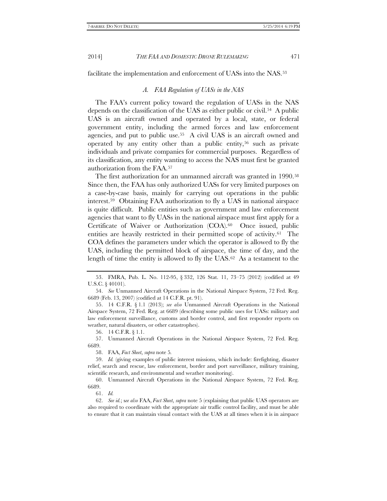facilitate the implementation and enforcement of UASs into the NAS.[53](#page-8-0)

#### *A. FAA Regulation of UASs in the NAS*

The FAA's current policy toward the regulation of UASs in the NAS depends on the classification of the UAS as either public or civil.[54](#page-8-1) A public UAS is an aircraft owned and operated by a local, state, or federal government entity, including the armed forces and law enforcement agencies, and put to public use.[55](#page-8-2) A civil UAS is an aircraft owned and operated by any entity other than a public entity,<sup>[56](#page-8-3)</sup> such as private individuals and private companies for commercial purposes. Regardless of its classification, any entity wanting to access the NAS must first be granted authorization from the FAA.[57](#page-8-4)

The first authorization for an unmanned aircraft was granted in 1990.<sup>58</sup> Since then, the FAA has only authorized UASs for very limited purposes on a case-by-case basis, mainly for carrying out operations in the public interest[.59](#page-8-6) Obtaining FAA authorization to fly a UAS in national airspace is quite difficult. Public entities such as government and law enforcement agencies that want to fly UASs in the national airspace must first apply for a Certificate of Waiver or Authorization (COA).<sup>60</sup> Once issued, public entities are heavily restricted in their permitted scope of activity.<sup>61</sup> The COA defines the parameters under which the operator is allowed to fly the UAS, including the permitted block of airspace, the time of day, and the length of time the entity is allowed to fly the UAS.[62](#page-8-9) As a testament to the

56. 14 C.F.R. § 1.1.

<span id="page-8-4"></span><span id="page-8-3"></span>57. Unmanned Aircraft Operations in the National Airspace System, 72 Fed. Reg. 6689.

58. FAA, *Fact Sheet*, *supra* not[e 5](#page-1-8)*.*

<span id="page-8-7"></span>60. Unmanned Aircraft Operations in the National Airspace System, 72 Fed. Reg. 6689.

<span id="page-8-0"></span><sup>53.</sup> FMRA, Pub. L. No. 112-95, § 332, 126 Stat. 11, 73–75 (2012) (codified at 49 U.S.C. § 40101).

<span id="page-8-1"></span><sup>54.</sup> *See* Unmanned Aircraft Operations in the National Airspace System, 72 Fed. Reg. 6689 (Feb. 13, 2007) (codified at 14 C.F.R. pt. 91).

<span id="page-8-2"></span><sup>55.</sup> 14 C.F.R. § 1.1 (2013); *see also* Unmanned Aircraft Operations in the National Airspace System, 72 Fed. Reg. at 6689 (describing some public uses for UASs: military and law enforcement surveillance, customs and border control, and first responder reports on weather, natural disasters, or other catastrophes).

<span id="page-8-6"></span><span id="page-8-5"></span><sup>59.</sup> *Id.* (giving examples of public interest missions, which include: firefighting, disaster relief, search and rescue, law enforcement, border and port surveillance, military training, scientific research, and environmental and weather monitoring).

<sup>61.</sup> *Id.*

<span id="page-8-9"></span><span id="page-8-8"></span><sup>62.</sup> *See id.*; s*ee also* FAA, *Fact Sheet*, *supra* note 5 (explaining that public UAS operators are also required to coordinate with the appropriate air traffic control facility, and must be able to ensure that it can maintain visual contact with the UAS at all times when it is in airspace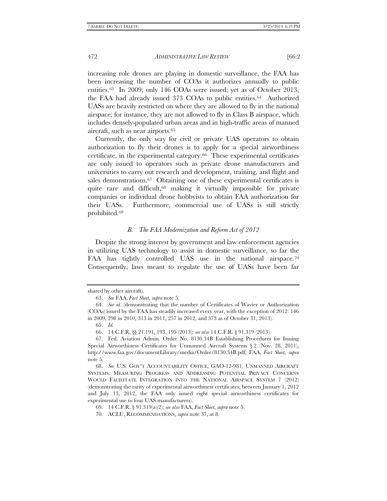increasing role drones are playing in domestic surveillance, the FAA has been increasing the number of COAs it authorizes annually to public entities.[63](#page-9-0) In 2009, only 146 COAs were issued; yet as of October 2013, the FAA had already issued 373 COAs to public entities.[64](#page-9-1) Authorized UASs are heavily restricted on where they are allowed to fly in the national airspace; for instance, they are not allowed to fly in Class B airspace, which includes densely-populated urban areas and in high-traffic areas of manned aircraft, such as near airports[.65](#page-9-2)

Currently, the only way for civil or private UAS operators to obtain authorization to fly their drones is to apply for a special airworthiness certificate, in the experimental category.[66](#page-9-3) These experimental certificates are only issued to operators such as private drone manufacturers and universities to carry out research and development, training, and flight and sales demonstrations.<sup>[67](#page-9-4)</sup> Obtaining one of these experimental certificates is quite rare and difficult,[68](#page-9-5) making it virtually impossible for private companies or individual drone hobbyists to obtain FAA authorization for their UASs. Furthermore, commercial use of UASs is still strictly prohibited.[69](#page-9-6)

# <span id="page-9-8"></span>*B. The FAA Modernization and Reform Act of 2012*

Despite the strong interest by government and law enforcement agencies in utilizing UAS technology to assist in domestic surveillance, so far the FAA has tightly controlled UAS use in the national airspace.<sup>70</sup> Consequently, laws meant to regulate the use of UASs have been far

<span id="page-9-0"></span>shared by other aircraft).

<sup>63.</sup> *See* FAA, *Fact Sheet*, *supra* note 5.

<span id="page-9-1"></span><sup>64.</sup> *See id.* (demonstrating that the number of Certificates of Wavier or Authorization (COAs) issued by the FAA has steadily increased every year, with the exception of 2012: 146 in 2009, 298 in 2010, 313 in 2011, 257 in 2012, and 373 as of October 31, 2013).

<sup>65.</sup> *Id.* 

<sup>66.</sup> 14 C.F.R. §§ 21.191, 193, 195 (2013); *see also* 14 C.F.R. § 91.319 (2013).

<span id="page-9-4"></span><span id="page-9-3"></span><span id="page-9-2"></span><sup>67.</sup> Fed. Aviation Admin. Order No. 8130.34B Establishing Procedures for Issuing Special Airworthiness Certificates for Unmanned Aircraft Systems § 2 (Nov. 28, 2011), http://www.faa.gov/documentLibrary/media/Order/8130.34B.pdf; FAA, *Fact Sheet*, *supra*  note 5.

<span id="page-9-5"></span><sup>68.</sup> *See* U.S. GOV'T ACCOUNTABILITY OFFICE, GAO-12-981, UNMANNED AIRCRAFT SYSTEMS: MEASURING PROGRESS AND ADDRESSING POTENTIAL PRIVACY CONCERNS WOULD FACILITATE INTEGRATION INTO THE NATIONAL AIRSPACE SYSTEM 7 (2012) (demonstrating the rarity of experimental airworthiness certificates; between January 1, 2012 and July 13, 2012, the FAA only issued eight special airworthiness certificates for experimental use to four UAS manufacturers).

<span id="page-9-6"></span><sup>69.</sup> 14 C.F.R. § 91.319(a)(2); *see also* FAA, *Fact Sheet*, *supra* not[e 5.](#page-1-8)

<span id="page-9-7"></span><sup>70.</sup> ACLU, RECOMMENDATIONS, *supra* note [37,](#page-6-7) at 8.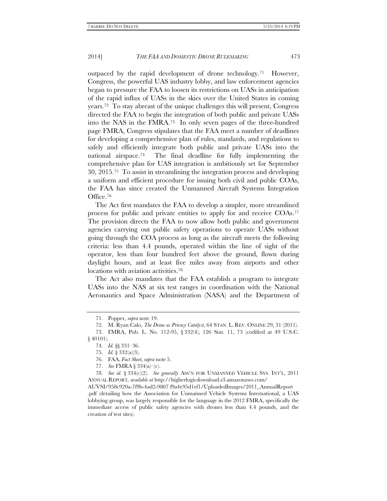outpaced by the rapid development of drone technology.[71](#page-10-0) However, Congress, the powerful UAS industry lobby, and law enforcement agencies began to pressure the FAA to loosen its restrictions on UASs in anticipation of the rapid influx of UASs in the skies over the United States in coming years.[72](#page-10-1) To stay abreast of the unique challenges this will present, Congress directed the FAA to begin the integration of both public and private UASs into the NAS in the FMRA.[73](#page-10-2) In only seven pages of the three-hundred page FMRA, Congress stipulates that the FAA meet a number of deadlines for developing a comprehensive plan of rules, standards, and regulations to safely and efficiently integrate both public and private UASs into the national airspace.[74](#page-10-3) The final deadline for fully implementing the comprehensive plan for UAS integration is ambitiously set for September 30, 2015.[75](#page-10-4) To assist in streamlining the integration process and developing a uniform and efficient procedure for issuing both civil and public COAs, the FAA has since created the Unmanned Aircraft Systems Integration Office[.76](#page-10-5)

The Act first mandates the FAA to develop a simpler, more streamlined process for public and private entities to apply for and receive COAs.[77](#page-10-6)  The provision directs the FAA to now allow both public and government agencies carrying out public safety operations to operate UASs without going through the COA process as long as the aircraft meets the following criteria: less than 4.4 pounds, operated within the line of sight of the operator, less than four hundred feet above the ground, flown during daylight hours, and at least five miles away from airports and other locations with aviation activities.[78](#page-10-7)

The Act also mandates that the FAA establish a program to integrate UASs into the NAS at six test ranges in coordination with the National Aeronautics and Space Administration (NASA) and the Department of

77. *See* FMRA § 334(a)–(c).

<sup>71.</sup> Popper, *supra* note [19.](#page-3-5)

<sup>72.</sup> M. Ryan Calo, *The Drone as Privacy Catalyst*, 64 STAN. L. REV. ONLINE 29, 31 (2011).

<span id="page-10-4"></span><span id="page-10-3"></span><span id="page-10-2"></span><span id="page-10-1"></span><span id="page-10-0"></span><sup>73.</sup> FMRA, Pub. L. No. 112-95, § 332(4), 126 Stat. 11, 73 (codified at 49 U.S.C. § 40101).

<sup>74.</sup> *Id.* §§ 331–36.

<sup>75.</sup> *Id.* § 332(a)(3).

<sup>76.</sup> FAA, *Fact Sheet*, *supra* note 5.

<span id="page-10-7"></span><span id="page-10-6"></span><span id="page-10-5"></span><sup>78.</sup> *See id.* § 334(c)(2). *See generally* ASS'N FOR UNMANNED VEHICLE SYS. INT'L, 2011 ANNUAL REPORT*, available at* http://higherlogicdownload.s3.amazonaws.com/

AUVSI/958c920a-7f9b-4ad2-9807 f9a4e95d1ef1/UploadedImages/2011\_AnnualReport .pdf (detailing how the Association for Unmanned Vehicle Systems International, a UAS lobbying group, was largely responsible for the language in the 2012 FMRA, specifically the immediate access of public safety agencies with drones less than 4.4 pounds, and the creation of test sites).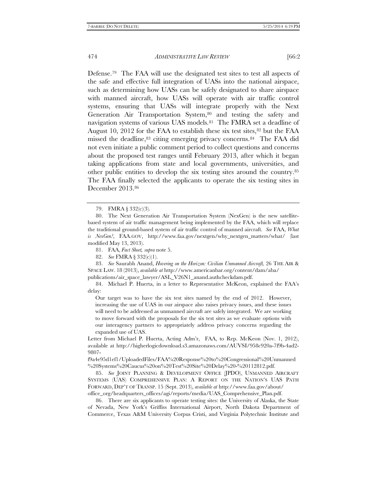Defense[.79](#page-11-0) The FAA will use the designated test sites to test all aspects of the safe and effective full integration of UASs into the national airspace, such as determining how UASs can be safely designated to share airspace with manned aircraft, how UASs will operate with air traffic control systems, ensuring that UASs will integrate properly with the Next Generation Air Transportation System,<sup>[80](#page-11-1)</sup> and testing the safety and navigation systems of various UAS models.[81](#page-11-2) The FMRA set a deadline of August 10, 2012 for the FAA to establish these six test sites, $82$  but the FAA missed the deadline, [83](#page-11-4) citing emerging privacy concerns. [84](#page-11-5) The FAA did not even initiate a public comment period to collect questions and concerns about the proposed test ranges until February 2013, after which it began taking applications from state and local governments, universities, and other public entities to develop the six testing sites around the country.[85](#page-11-6)  The FAA finally selected the applicants to operate the six testing sites in December 2013.[86](#page-11-7)

81. FAA, *Fact Sheet, supra* note 5.

82. *See* FMRA § 332(c)(1).

<span id="page-11-4"></span><span id="page-11-3"></span><span id="page-11-2"></span>83. *See* Saurabh Anand, *Hovering on the Horizon: Civilian Unmanned Aircraft,* 26 THE AIR & SPACE LAW. 18 (2013), *available at* http://www.americanbar.org/content/dam/aba/

publications/air\_space\_lawyer/ASL\_V26N1\_anand.authcheckdam.pdf.

<span id="page-11-5"></span>84. Michael P. Huerta, in a letter to Representative McKeon, explained the FAA's delay:

Our target was to have the six test sites named by the end of 2012. However, increasing the use of UAS in our airspace also raises privacy issues, and these issues will need to be addressed as unmanned aircraft are safely integrated. We are working to move forward with the proposals for the six test sites as we evaluate options with our interagency partners to appropriately address privacy concerns regarding the expanded use of UAS.

Letter from Michael P. Huerta, Acting Adm'r, FAA, to Rep. McKeon (Nov. 1, 2012), available at http://higherlogicdownload.s3.amazonaws.com/AUVSI/958c920a-7f9b-4ad2- 9807-

f9a4e95d1ef1/UploadedFiles/FAA%20Response%20to%20Congressional%20Unmanned %20Systems%20Caucus%20on%20Test%20Site%20Delay%20-%20112812.pdf.

<span id="page-11-6"></span>85. *See* JOINT PLANNING & DEVELOPMENT OFFICE (JPDO), UNMANNED AIRCRAFT SYSTEMS (UAS) COMPREHENSIVE PLAN: A REPORT ON THE NATION'S UAS PATH FORWARD, DEP'T OF TRANSP. 15 (Sept. 2013), *available at* http://www.faa.gov/about/ office\_org/headquarters\_offices/agi/reports/media/UAS\_Comprehensive\_Plan.pdf.

<span id="page-11-7"></span>86. There are six applicants to operate testing sites: the University of Alaska, the State of Nevada, New York's Griffiss International Airport, North Dakota Department of Commerce, Texas A&M University Corpus Cristi, and Virginia Polytechnic Institute and

<sup>79.</sup> FMRA § 332(c)(3).

<span id="page-11-1"></span><span id="page-11-0"></span><sup>80.</sup> The Next Generation Air Transportation System (NexGen) is the new satellitebased system of air traffic management being implemented by the FAA, which will replace the traditional ground-based system of air traffic control of manned aircraft. *See* FAA, *What is NexGen?*, FAA.GOV, http://www.faa.gov/nextgen/why\_nextgen\_matters/what/ (last modified May 13, 2013).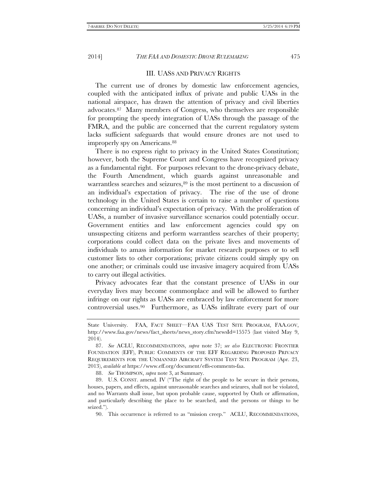III. UASS AND PRIVACY RIGHTS

The current use of drones by domestic law enforcement agencies, coupled with the anticipated influx of private and public UASs in the national airspace, has drawn the attention of privacy and civil liberties advocates.[87](#page-12-0) Many members of Congress, who themselves are responsible for prompting the speedy integration of UASs through the passage of the FMRA, and the public are concerned that the current regulatory system lacks sufficient safeguards that would ensure drones are not used to improperly spy on Americans.<sup>88</sup>

There is no express right to privacy in the United States Constitution; however, both the Supreme Court and Congress have recognized privacy as a fundamental right. For purposes relevant to the drone-privacy debate, the Fourth Amendment, which guards against unreasonable and warrantless searches and seizures, [89](#page-12-2) is the most pertinent to a discussion of an individual's expectation of privacy. The rise of the use of drone technology in the United States is certain to raise a number of questions concerning an individual's expectation of privacy. With the proliferation of UASs, a number of invasive surveillance scenarios could potentially occur. Government entities and law enforcement agencies could spy on unsuspecting citizens and perform warrantless searches of their property; corporations could collect data on the private lives and movements of individuals to amass information for market research purposes or to sell customer lists to other corporations; private citizens could simply spy on one another; or criminals could use invasive imagery acquired from UASs to carry out illegal activities.

Privacy advocates fear that the constant presence of UASs in our everyday lives may become commonplace and will be allowed to further infringe on our rights as UASs are embraced by law enforcement for more controversial uses.[90](#page-12-3) Furthermore, as UASs infiltrate every part of our

88. *See* THOMPSON, *supra* note 3, at Summary.

State University. FAA, FACT SHEET—FAA UAS TEST SITE PROGRAM, FAA.GOV, http://www.faa.gov/news/fact\_sheets/news\_story.cfm?newsId=15575 (last visited May 9, 2014).

<span id="page-12-0"></span><sup>87.</sup> *See* ACLU, RECOMMENDATIONS, *supra* note 37; *see also* ELECTRONIC FRONTIER FOUNDATION (EFF), PUBLIC COMMENTS OF THE EFF REGARDING PROPOSED PRIVACY REQUIREMENTS FOR THE UNMANNED AIRCRAFT SYSTEM TEST SITE PROGRAM (Apr. 23, 2013), *available at* https://www.eff.org/document/effs-comments-faa.

<span id="page-12-3"></span><span id="page-12-2"></span><span id="page-12-1"></span><sup>89.</sup> U.S. CONST. amend. IV ("The right of the people to be secure in their persons, houses, papers, and effects, against unreasonable searches and seizures, shall not be violated, and no Warrants shall issue, but upon probable cause, supported by Oath or affirmation, and particularly describing the place to be searched, and the persons or things to be seized.").

<sup>90.</sup> This occurrence is referred to as "mission creep." ACLU, RECOMMENDATIONS,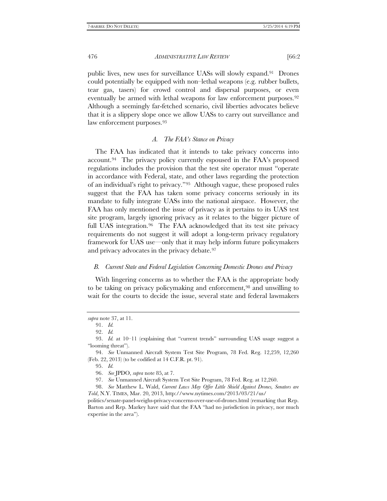public lives, new uses for surveillance UASs will slowly expand.[91](#page-13-0) Drones could potentially be equipped with non–lethal weapons (e.g. rubber bullets, tear gas, tasers) for crowd control and dispersal purposes, or even eventually be armed with lethal weapons for law enforcement purposes.<sup>92</sup> Although a seemingly far-fetched scenario, civil liberties advocates believe that it is a slippery slope once we allow UASs to carry out surveillance and law enforcement purposes.[93](#page-13-2)

# *A. The FAA's Stance on Privacy*

The FAA has indicated that it intends to take privacy concerns into account.[94](#page-13-3) The privacy policy currently espoused in the FAA's proposed regulations includes the provision that the test site operator must "operate in accordance with Federal, state, and other laws regarding the protection of an individual's right to privacy."[95](#page-13-4) Although vague, these proposed rules suggest that the FAA has taken some privacy concerns seriously in its mandate to fully integrate UASs into the national airspace. However, the FAA has only mentioned the issue of privacy as it pertains to its UAS test site program, largely ignoring privacy as it relates to the bigger picture of full UAS integration.<sup>[96](#page-13-5)</sup> The FAA acknowledged that its test site privacy requirements do not suggest it will adopt a long-term privacy regulatory framework for UAS use—only that it may help inform future policymakers and privacy advocates in the privacy debate.<sup>[97](#page-13-6)</sup>

### *B. Current State and Federal Legislation Concerning Domestic Drones and Privacy*

With lingering concerns as to whether the FAA is the appropriate body to be taking on privacy policymaking and enforcement,[98](#page-13-7) and unwilling to wait for the courts to decide the issue, several state and federal lawmakers

<span id="page-13-0"></span>*supra* note [37,](#page-6-7) at 11.

<sup>91.</sup> *Id.* 

<sup>92.</sup> *Id.*

<span id="page-13-2"></span><span id="page-13-1"></span><sup>93.</sup> *Id.* at 10–11 (explaining that "current trends" surrounding UAS usage suggest a "looming threat").

<span id="page-13-4"></span><span id="page-13-3"></span><sup>94.</sup> *See* Unmanned Aircraft System Test Site Program, 78 Fed. Reg. 12,259, 12,260 (Feb. 22, 2013) (to be codified at 14 C.F.R. pt. 91).

<sup>95.</sup> *Id.* 

<sup>96.</sup> *See* JPDO, *supra* note 85, at 7.

<sup>97.</sup> *See* Unmanned Aircraft System Test Site Program, 78 Fed. Reg. at 12,260.

<span id="page-13-7"></span><span id="page-13-6"></span><span id="page-13-5"></span><sup>98.</sup> *See* Matthew L. Wald, *Current Laws May Offer Little Shield Against Drones, Senators are Told*, N.Y. TIMES, Mar. 20, 2013, http://www.nytimes.com/2013/03/21/us/

politics/senate-panel-weighs-privacy-concerns-over-use-of-drones.html (remarking that Rep. Barton and Rep. Markey have said that the FAA "had no jurisdiction in privacy, nor much expertise in the area").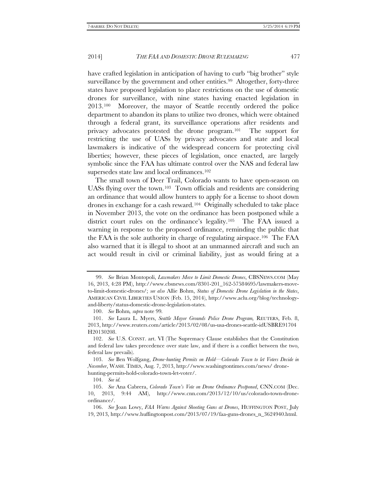have crafted legislation in anticipation of having to curb "big brother" style surveillance by the government and other entities.<sup>99</sup> Altogether, forty-three states have proposed legislation to place restrictions on the use of domestic drones for surveillance, with nine states having enacted legislation in 2013.[100](#page-14-1) Moreover, the mayor of Seattle recently ordered the police department to abandon its plans to utilize two drones, which were obtained through a federal grant, its surveillance operations after residents and privacy advocates protested the drone program.[101](#page-14-2) The support for restricting the use of UASs by privacy advocates and state and local lawmakers is indicative of the widespread concern for protecting civil liberties; however, these pieces of legislation, once enacted, are largely symbolic since the FAA has ultimate control over the NAS and federal law supersedes state law and local ordinances.[102](#page-14-3)

The small town of Deer Trail, Colorado wants to have open-season on UASs flying over the town.[103](#page-14-4) Town officials and residents are considering an ordinance that would allow hunters to apply for a license to shoot down drones in exchange for a cash reward.[104](#page-14-5) Originally scheduled to take place in November 2013, the vote on the ordinance has been postponed while a district court rules on the ordinance's legality.[105](#page-14-6) The FAA issued a warning in response to the proposed ordinance, reminding the public that the FAA is the sole authority in charge of regulating airspace.[106](#page-14-7) The FAA also warned that it is illegal to shoot at an unmanned aircraft and such an act would result in civil or criminal liability, just as would firing at a

<span id="page-14-0"></span><sup>99.</sup> *See* Brian Montopoli, *Lawmakers Move to Limit Domestic Drones*, CBSNEWS.COM (May 16, 2013, 4:28 PM), http://www.cbsnews.com/8301-201\_162-57584695/lawmakers-moveto-limit-domestic-drones/; *see also* Allie Bohm, *Status of Domestic Drone Legislation in the States*, AMERICAN CIVIL LIBERTIES UNION (Feb. 15, 2014), http://www.aclu.org/blog/technologyand-liberty/status-domestic-drone-legislation-states.

<sup>100.</sup> *See* Bohm*, supra* note 99*.*

<span id="page-14-2"></span><span id="page-14-1"></span><sup>101.</sup> *See* Laura L. Myers, *Seattle Mayor Grounds Police Drone Program,* REUTERS, Feb. 8, 2013, http://www.reuters.com/article/2013/02/08/us-usa-drones-seattle-idUSBRE91704 H20130208.

<span id="page-14-3"></span><sup>102.</sup> *See* U.S. CONST. art. VI (The Supremacy Clause establishes that the Constitution and federal law takes precedence over state law, and if there is a conflict between the two, federal law prevails).

<span id="page-14-4"></span><sup>103.</sup> *See* Ben Wolfgang, *Drone-hunting Permits on Hold—Colorado Town to let Voters Decide in November*, WASH. TIMES, Aug. 7, 2013, http://www.washingtontimes.com/news/ dronehunting-permits-hold-colorado-town-let-voter/.

<sup>104.</sup> *See id.* 

<span id="page-14-6"></span><span id="page-14-5"></span><sup>105.</sup> *See* Ana Cabrera, *Colorado Town's Vote on Drone Ordinance Postponed*, CNN.COM (Dec. 10, 2013, 9:44 AM), http://www.cnn.com/2013/12/10/us/colorado-town-droneordinance/.

<span id="page-14-7"></span><sup>106.</sup> *See* Joan Lowy, *FAA Warns Against Shooting Guns at Drones*, HUFFINGTON POST, July 19, 2013, http://www.huffingtonpost.com/2013/07/19/faa-guns-drones\_n\_3624940.html.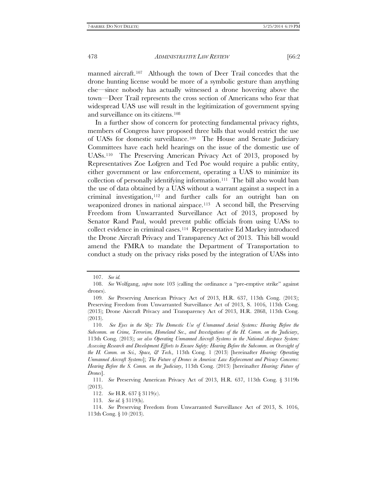manned aircraft.<sup>[107](#page-15-0)</sup> Although the town of Deer Trail concedes that the drone hunting license would be more of a symbolic gesture than anything else—since nobody has actually witnessed a drone hovering above the town—Deer Trail represents the cross section of Americans who fear that widespread UAS use will result in the legitimization of government spying and surveillance on its citizens.[108](#page-15-1)

In a further show of concern for protecting fundamental privacy rights, members of Congress have proposed three bills that would restrict the use of UASs for domestic surveillance.[109](#page-15-2) The House and Senate Judiciary Committees have each held hearings on the issue of the domestic use of UASs.[110](#page-15-3) The Preserving American Privacy Act of 2013, proposed by Representatives Zoe Lofgren and Ted Poe would require a public entity, either government or law enforcement, operating a UAS to minimize its collection of personally identifying information.[111](#page-15-4) The bill also would ban the use of data obtained by a UAS without a warrant against a suspect in a criminal investigation,[112](#page-15-5) and further calls for an outright ban on weaponized drones in national airspace.<sup>113</sup> A second bill, the Preserving Freedom from Unwarranted Surveillance Act of 2013, proposed by Senator Rand Paul, would prevent public officials from using UASs to collect evidence in criminal cases.[114](#page-15-7) Representative Ed Markey introduced the Drone Aircraft Privacy and Transparency Act of 2013. This bill would amend the FMRA to mandate the Department of Transportation to conduct a study on the privacy risks posed by the integration of UASs into

<sup>107.</sup> *See id.* 

<span id="page-15-1"></span><span id="page-15-0"></span><sup>108.</sup> *See* Wolfgang, *supra* note 103 (calling the ordinance a "pre-emptive strike" against drones).

<span id="page-15-2"></span><sup>109</sup>*. See* Preserving American Privacy Act of 2013, H.R. 637, 113th Cong. (2013); Preserving Freedom from Unwarranted Surveillance Act of 2013, S. 1016, 113th Cong. (2013); Drone Aircraft Privacy and Transparency Act of 2013, H.R. 2868, 113th Cong. (2013).

<span id="page-15-3"></span><sup>110.</sup> *See Eyes in the Sky: The Domestic Use of Unmanned Aerial Systems: Hearing Before the Subcomm. on Crime, Terrorism, Homeland Sec., and Investigations of the H. Comm. on the Judiciary*, 113th Cong. (2013); *see also Operating Unmanned Aircraft Systems in the National Airspace System: Assessing Research and Development Efforts to Ensure Safety: Hearing Before the Subcomm. on Oversight of the H. Comm. on Sci., Space, & Tech.,* 113th Cong. 1 (2013) [hereinafter *Hearing: Operating Unmanned Aircraft Systems*]; *The Future of Drones in America: Law Enforcement and Privacy Concerns*: *Hearing Before the S. Comm. on the Judiciary*, 113th Cong. (2013) [hereinafter *Hearing: Future of Drones*].

<span id="page-15-5"></span><span id="page-15-4"></span><sup>111.</sup> *See* Preserving American Privacy Act of 2013, H.R. 637, 113th Cong. § 3119b (2013).

<sup>112.</sup> *See* H.R. 637 § 3119(c).

<sup>113.</sup> *See id.* § 3119(h).

<span id="page-15-7"></span><span id="page-15-6"></span><sup>114.</sup> *See* Preserving Freedom from Unwarranted Surveillance Act of 2013, S. 1016, 113th Cong. § 10 (2013).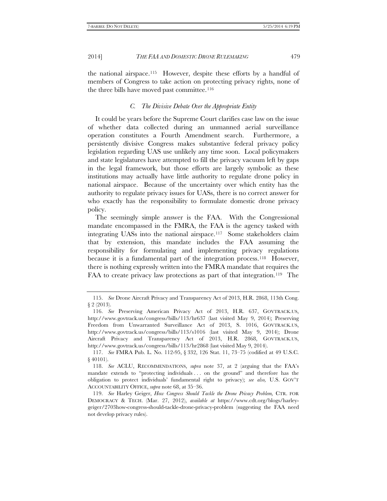the national airspace.[115](#page-16-0) However, despite these efforts by a handful of members of Congress to take action on protecting privacy rights, none of the three bills have moved past committee.<sup>[116](#page-16-1)</sup>

# *C. The Divisive Debate Over the Appropriate Entity*

It could be years before the Supreme Court clarifies case law on the issue of whether data collected during an unmanned aerial surveillance operation constitutes a Fourth Amendment search. Furthermore, a persistently divisive Congress makes substantive federal privacy policy legislation regarding UAS use unlikely any time soon. Local policymakers and state legislatures have attempted to fill the privacy vacuum left by gaps in the legal framework, but those efforts are largely symbolic as these institutions may actually have little authority to regulate drone policy in national airspace. Because of the uncertainty over which entity has the authority to regulate privacy issues for UASs, there is no correct answer for who exactly has the responsibility to formulate domestic drone privacy policy.

The seemingly simple answer is the FAA. With the Congressional mandate encompassed in the FMRA, the FAA is the agency tasked with integrating UASs into the national airspace.[117](#page-16-2) Some stakeholders claim that by extension, this mandate includes the FAA assuming the responsibility for formulating and implementing privacy regulations because it is a fundamental part of the integration process.<sup>118</sup> However, there is nothing expressly written into the FMRA mandate that requires the FAA to create privacy law protections as part of that integration.<sup>119</sup> The

<span id="page-16-0"></span><sup>115.</sup> *See* Drone Aircraft Privacy and Transparency Act of 2013, H.R. 2868, 113th Cong. § 2 (2013).

<span id="page-16-1"></span><sup>116.</sup> *See* Preserving American Privacy Act of 2013, H.R. 637, GOVTRACK.US, http://www.govtrack.us/congress/bills/113/hr637 (last visited May 9, 2014); Preserving Freedom from Unwarranted Surveillance Act of 2013, S. 1016, GOVTRACK.US, http://www.govtrack.us/congress/bills/113/s1016 (last visited May 9, 2014); Drone Aircraft Privacy and Transparency Act of 2013, H.R. 2868, GOVTRACK.US, http://www.govtrack.us/congress/bills/113/hr2868 (last visited May 9, 2014).

<span id="page-16-2"></span><sup>117.</sup> *See* FMRA Pub. L. No. 112-95, § 332, 126 Stat. 11, 73–75 (codified at 49 U.S.C. § 40101).

<span id="page-16-3"></span><sup>118.</sup> *See* ACLU, RECOMMENDATIONS, *supra* note 37, at 2 (arguing that the FAA's mandate extends to "protecting individuals . . . on the ground" and therefore has the obligation to protect individuals' fundamental right to privacy); *see also,* U.S. GOV'T ACCOUNTABILITY OFFICE, *supra* not[e 68,](#page-9-8) at 35–36.

<span id="page-16-4"></span><sup>119.</sup> *See* Harley Geiger, *How Congress Should Tackle the Drone Privacy Problem,* CTR. FOR DEMOCRACY & TECH. (Mar. 27, 2012), *available at* https://www.cdt.org/blogs/harleygeiger/2703how-congress-should-tackle-drone-privacy-problem (suggesting the FAA need not develop privacy rules).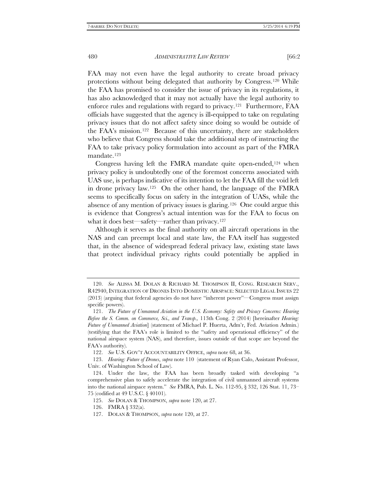FAA may not even have the legal authority to create broad privacy protections without being delegated that authority by Congress.[120](#page-17-0) While the FAA has promised to consider the issue of privacy in its regulations, it has also acknowledged that it may not actually have the legal authority to enforce rules and regulations with regard to privacy[.121](#page-17-1) Furthermore, FAA officials have suggested that the agency is ill-equipped to take on regulating privacy issues that do not affect safety since doing so would be outside of the FAA's mission.[122](#page-17-2) Because of this uncertainty, there are stakeholders who believe that Congress should take the additional step of instructing the FAA to take privacy policy formulation into account as part of the FMRA mandate.[123](#page-17-3)

Congress having left the FMRA mandate quite open-ended,<sup>124</sup> when privacy policy is undoubtedly one of the foremost concerns associated with UAS use, is perhaps indicative of its intention to let the FAA fill the void left in drone privacy law.[125](#page-17-5) On the other hand, the language of the FMRA seems to specifically focus on safety in the integration of UASs, while the absence of any mention of privacy issues is glaring.[126](#page-17-6) One could argue this is evidence that Congress's actual intention was for the FAA to focus on what it does best—safety—rather than privacy.[127](#page-17-7)

Although it serves as the final authority on all aircraft operations in the NAS and can preempt local and state law, the FAA itself has suggested that, in the absence of widespread federal privacy law, existing state laws that protect individual privacy rights could potentially be applied in

<span id="page-17-0"></span><sup>120.</sup> *See* ALISSA M. DOLAN & RICHARD M. THOMPSON II, CONG. RESEARCH SERV., R42940, INTEGRATION OF DRONES INTO DOMESTIC AIRSPACE: SELECTED LEGAL ISSUES 22 (2013) (arguing that federal agencies do not have "inherent power"—Congress must assign specific powers).

<span id="page-17-1"></span><sup>121.</sup> *The Future of Unmanned Aviation in the U.S. Economy: Safety and Privacy Concerns: Hearing Before the S. Comm. on Commerce, Sci., and Transp.,* 113th Cong. 2 (2014) [hereinafter *Hearing: Future of Unmanned Aviation*] (statement of Michael P. Huerta, Adm'r, Fed. Aviation Admin.) (testifying that the FAA's role is limited to the "safety and operational efficiency" of the national airspace system (NAS), and therefore, issues outside of that scope are beyond the FAA's authority).

<sup>122.</sup> *See* U.S. GOV'T ACCOUNTABILITY OFFICE, *supra* note 68, at 36.

<span id="page-17-3"></span><span id="page-17-2"></span><sup>123.</sup> *Hearing: Future of Drones*, *supra* note 110 (statement of Ryan Calo, Assistant Professor, Univ. of Washington School of Law).

<span id="page-17-5"></span><span id="page-17-4"></span><sup>124.</sup> Under the law, the FAA has been broadly tasked with developing "a comprehensive plan to safely accelerate the integration of civil unmanned aircraft systems into the national airspace system." *See* FMRA, Pub. L. No. 112-95, § 332, 126 Stat. 11, 73– 75 (codified at 49 U.S.C. § 40101).

<sup>125.</sup> *See* DOLAN & THOMPSON, *supra* note 120, at 27.

<span id="page-17-6"></span><sup>126.</sup> FMRA § 332(a).

<span id="page-17-7"></span><sup>127.</sup> DOLAN & THOMPSON, *supra* note 120, at 27.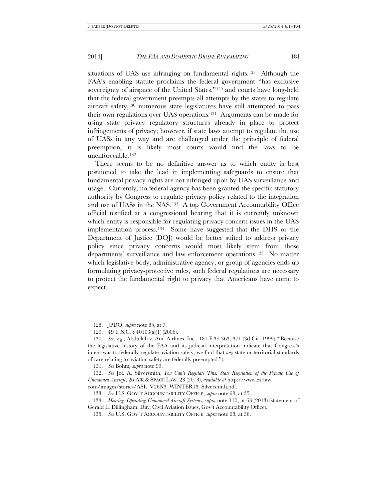situations of UAS use infringing on fundamental rights.[128](#page-18-0) Although the FAA's enabling statute proclaims the federal government "has exclusive sovereignty of airspace of the United States,"<sup>[129](#page-18-1)</sup> and courts have long-held that the federal government preempts all attempts by the states to regulate aircraft safety,[130](#page-18-2) numerous state legislatures have still attempted to pass their own regulations over UAS operations.[131](#page-18-3) Arguments can be made for using state privacy regulatory structures already in place to protect infringements of privacy; however, if state laws attempt to regulate the use of UASs in any way and are challenged under the principle of federal preemption, it is likely most courts would find the laws to be unenforceable.[132](#page-18-4)

There seems to be no definitive answer as to which entity is best positioned to take the lead in implementing safeguards to ensure that fundamental privacy rights are not infringed upon by UAS surveillance and usage. Currently, no federal agency has been granted the specific statutory authority by Congress to regulate privacy policy related to the integration and use of UASs in the NAS.[133](#page-18-5) A top Government Accountability Office official testified at a congressional hearing that it is currently unknown which entity is responsible for regulating privacy concern issues in the UAS implementation process[.134](#page-18-6) Some have suggested that the DHS or the Department of Justice (DOJ) would be better suited to address privacy policy since privacy concerns would most likely stem from those departments' surveillance and law enforcement operations.[135](#page-18-7) No matter which legislative body, administrative agency, or group of agencies ends up formulating privacy-protective rules, such federal regulations are necessary to protect the fundamental right to privacy that Americans have come to expect.

<sup>128.</sup> JPDO, *supra* note 85, at 7.

<sup>129.</sup> 49 U.S.C. § 40103(a)(1) (2006).

<span id="page-18-2"></span><span id="page-18-1"></span><span id="page-18-0"></span><sup>130.</sup> *See, e.g*., Abdullah v. Am. Airlines, Inc., 181 F.3d 363, 371 (3d Cir. 1999) ("Because the legislative history of the FAA and its judicial interpretation indicate that Congress's intent was to federally regulate aviation safety, we find that *any* state or territorial standards of care relating to aviation safety are federally preempted.").

<sup>131.</sup> *See* Bohm*, supra* note 99.

<span id="page-18-4"></span><span id="page-18-3"></span><sup>132.</sup> *See* Jol. A. Silversmith, *You Can't Regulate This: State Regulation of the Private Use of Unmanned Aircraft*, 26 AIR & SPACE LAW. 23 (2013), *available at* http://www.zsrlaw.

<span id="page-18-5"></span>com/images/stories/ASL\_V26N3\_WINTER13\_Silversmith.pdf.

<sup>133.</sup> *See* U.S. GOV'T ACCOUNTABILITY OFFICE, *supra* note 68, at 35.

<span id="page-18-7"></span><span id="page-18-6"></span><sup>134.</sup> *Hearing: Operating Unmanned Aircraft Systems*, *supra* note 110, at 63 (2013) (statement of Gerald L. Dillingham, Dir., Civil Aviation Issues, Gov't Accountability Office).

<sup>135.</sup> *See* U.S. GOV'T ACCOUNTABILITY OFFICE, *supra* note 68, at 36.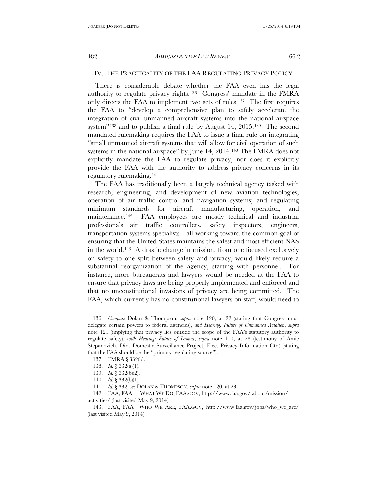# IV. THE PRACTICALITY OF THE FAA REGULATING PRIVACY POLICY

There is considerable debate whether the FAA even has the legal authority to regulate privacy rights.[136](#page-19-0) Congress' mandate in the FMRA only directs the FAA to implement two sets of rules.[137](#page-19-1) The first requires the FAA to "develop a comprehensive plan to safely accelerate the integration of civil unmanned aircraft systems into the national airspace system"<sup>[138](#page-19-2)</sup> and to publish a final rule by August 14, 2015.<sup>139</sup> The second mandated rulemaking requires the FAA to issue a final rule on integrating "small unmanned aircraft systems that will allow for civil operation of such systems in the national airspace" by June 14, 2014.[140](#page-19-4) The FMRA does not explicitly mandate the FAA to regulate privacy, nor does it explicitly provide the FAA with the authority to address privacy concerns in its regulatory rulemaking.[141](#page-19-5)

The FAA has traditionally been a largely technical agency tasked with research, engineering, and development of new aviation technologies; operation of air traffic control and navigation systems; and regulating minimum standards for aircraft manufacturing, operation, and maintenance.<sup>142</sup> FAA employees are mostly technical and industrial professionals—air traffic controllers, safety inspectors, engineers, transportation systems specialists—all working toward the common goal of ensuring that the United States maintains the safest and most efficient NAS in the world.[143](#page-19-7) A drastic change in mission, from one focused exclusively on safety to one split between safety and privacy, would likely require a substantial reorganization of the agency, starting with personnel. For instance, more bureaucrats and lawyers would be needed at the FAA to ensure that privacy laws are being properly implemented and enforced and that no unconstitutional invasions of privacy are being committed. The FAA, which currently has no constitutional lawyers on staff, would need to

<span id="page-19-0"></span><sup>136.</sup> *Compare* Dolan & Thompson, *supra* note 120, at 22 (stating that Congress must delegate certain powers to federal agencies), *and Hearing: Future of Unmanned Aviation*, *supra*  note 121 (implying that privacy lies outside the scope of the FAA's statutory authority to regulate safety), *with Hearing: Future of Drone*s, *supra* note 110, at 28 (testimony of Amie Stepanovich, Dir., Domestic Surveillance Project, Elec. Privacy Information Ctr.) (stating that the FAA should be the "primary regulating source").

<span id="page-19-1"></span><sup>137.</sup> FMRA § 332(b).

<span id="page-19-2"></span><sup>138.</sup> *Id.* § 332(a)(1).

<sup>139.</sup> *Id.* § 332(b)(2).

<sup>140.</sup> *Id.* § 332(b)(1).

<sup>141</sup>*. Id.* § 332; *see* DOLAN & THOMPSON, *supra* note 120, at 23.

<span id="page-19-3"></span><sup>142.</sup> FAA, FAA — WHAT WE DO, FAA.GOV, http://www.faa.gov/ about/mission/

<span id="page-19-6"></span><span id="page-19-5"></span><span id="page-19-4"></span>activities/ (last visited May 9, 2014).

<span id="page-19-7"></span><sup>143.</sup> FAA, FAA—WHO WE ARE, FAA.GOV, http://www.faa.gov/jobs/who\_we\_are/ (last visited May 9, 2014).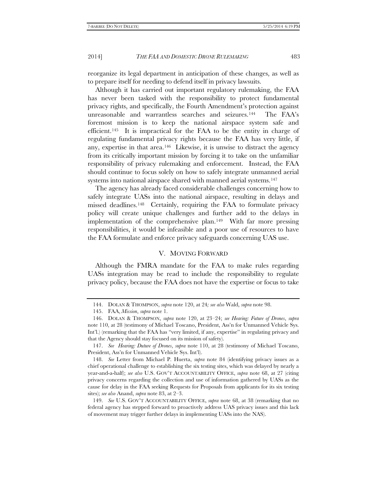reorganize its legal department in anticipation of these changes, as well as to prepare itself for needing to defend itself in privacy lawsuits.

Although it has carried out important regulatory rulemaking, the FAA has never been tasked with the responsibility to protect fundamental privacy rights, and specifically, the Fourth Amendment's protection against unreasonable and warrantless searches and seizures.[144](#page-20-0) The FAA's foremost mission is to keep the national airspace system safe and efficient.[145](#page-20-1) It is impractical for the FAA to be the entity in charge of regulating fundamental privacy rights because the FAA has very little, if any, expertise in that area.[146](#page-20-2) Likewise, it is unwise to distract the agency from its critically important mission by forcing it to take on the unfamiliar responsibility of privacy rulemaking and enforcement. Instead, the FAA should continue to focus solely on how to safely integrate unmanned aerial systems into national airspace shared with manned aerial systems.<sup>[147](#page-20-3)</sup>

The agency has already faced considerable challenges concerning how to safely integrate UASs into the national airspace, resulting in delays and missed deadlines.[148](#page-20-4) Certainly, requiring the FAA to formulate privacy policy will create unique challenges and further add to the delays in implementation of the comprehensive plan.[149](#page-20-5) With far more pressing responsibilities, it would be infeasible and a poor use of resources to have the FAA formulate and enforce privacy safeguards concerning UAS use.

# V. MOVING FORWARD

Although the FMRA mandate for the FAA to make rules regarding UASs integration may be read to include the responsibility to regulate privacy policy, because the FAA does not have the expertise or focus to take

<sup>144.</sup> DOLAN & THOMPSON, *supra* note 120, at 24*; see also* Wald, *supra* note 98.

<sup>145.</sup> FAA, *Mission*, *supra* note 1.

<span id="page-20-2"></span><span id="page-20-1"></span><span id="page-20-0"></span><sup>146.</sup> DOLAN & THOMPSON, *supra* note 120, at 23–24; *see Hearing: Future of Drones*, *supra*  note 110, at 28 (testimony of Michael Toscano, President, Ass'n for Unmanned Vehicle Sys. Int'l.) (remarking that the FAA has "very limited, if any, expertise" in regulating privacy and that the Agency should stay focused on its mission of safety).

<span id="page-20-3"></span><sup>147.</sup> *See Hearing: Duture of Drones*, *supra* note 110, at 28 (testimony of Michael Toscano, President, Ass'n for Unmanned Vehicle Sys. Int'l).

<span id="page-20-4"></span><sup>148.</sup> *See* Letter from Michael P. Huerta, *supra* note 84 (identifying privacy issues as a chief operational challenge to establishing the six testing sites, which was delayed by nearly a year-and-a-half); *see also* U.S. GOV'T ACCOUNTABILITY OFFICE, *supra* note 68, at 27 (citing privacy concerns regarding the collection and use of information gathered by UASs as the cause for delay in the FAA seeking Requests for Proposals from applicants for its six testing sites); *see also* Anand, *supra* note 83, at 2–3.

<span id="page-20-5"></span><sup>149.</sup> *See* U.S. GOV'T ACCOUNTABILITY OFFICE, *supra* note 68, at 38 (remarking that no federal agency has stepped forward to proactively address UAS privacy issues and this lack of movement may trigger further delays in implementing UASs into the NAS).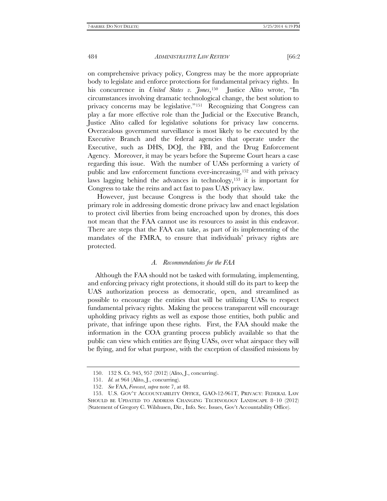on comprehensive privacy policy, Congress may be the more appropriate body to legislate and enforce protections for fundamental privacy rights. In his concurrence in *United States v. Jones*,[150](#page-21-0) Justice Alito wrote, "In circumstances involving dramatic technological change, the best solution to privacy concerns may be legislative."[151](#page-21-1) Recognizing that Congress can play a far more effective role than the Judicial or the Executive Branch, Justice Alito called for legislative solutions for privacy law concerns. Overzealous government surveillance is most likely to be executed by the Executive Branch and the federal agencies that operate under the Executive, such as DHS, DOJ, the FBI, and the Drug Enforcement Agency. Moreover, it may be years before the Supreme Court hears a case regarding this issue. With the number of UASs performing a variety of public and law enforcement functions ever-increasing,[152](#page-21-2) and with privacy laws lagging behind the advances in technology,[153](#page-21-3) it is important for Congress to take the reins and act fast to pass UAS privacy law.

However, just because Congress is the body that should take the primary role in addressing domestic drone privacy law and enact legislation to protect civil liberties from being encroached upon by drones, this does not mean that the FAA cannot use its resources to assist in this endeavor. There are steps that the FAA can take, as part of its implementing of the mandates of the FMRA, to ensure that individuals' privacy rights are protected.

# *A. Recommendations for the FAA*

Although the FAA should not be tasked with formulating, implementing, and enforcing privacy right protections, it should still do its part to keep the UAS authorization process as democratic, open, and streamlined as possible to encourage the entities that will be utilizing UASs to respect fundamental privacy rights. Making the process transparent will encourage upholding privacy rights as well as expose those entities, both public and private, that infringe upon these rights. First, the FAA should make the information in the COA granting process publicly available so that the public can view which entities are flying UASs, over what airspace they will be flying, and for what purpose, with the exception of classified missions by

<sup>150.</sup> 132 S. Ct. 945, 957 (2012) (Alito, J., concurring).

<sup>151.</sup> *Id.* at 964 (Alito, J., concurring).

<sup>152.</sup> *See* FAA, *Forecast*, *supra* note 7, at 48.

<span id="page-21-3"></span><span id="page-21-2"></span><span id="page-21-1"></span><span id="page-21-0"></span><sup>153.</sup> U.S. GOV'T ACCOUNTABILITY OFFICE, GAO-12-961T, PRIVACY: FEDERAL LAW SHOULD BE UPDATED TO ADDRESS CHANGING TECHNOLOGY LANDSCAPE 8–10 (2012) (Statement of Gregory C. Wilshusen, Dir., Info. Sec. Issues, Gov't Accountability Office).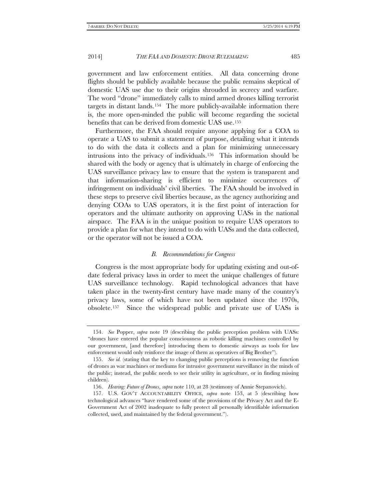government and law enforcement entities. All data concerning drone flights should be publicly available because the public remains skeptical of domestic UAS use due to their origins shrouded in secrecy and warfare. The word "drone" immediately calls to mind armed drones killing terrorist targets in distant lands.[154](#page-22-0) The more publicly-available information there is, the more open-minded the public will become regarding the societal benefits that can be derived from domestic UAS use.[155](#page-22-1)

Furthermore, the FAA should require anyone applying for a COA to operate a UAS to submit a statement of purpose, detailing what it intends to do with the data it collects and a plan for minimizing unnecessary intrusions into the privacy of individuals.[156](#page-22-2) This information should be shared with the body or agency that is ultimately in charge of enforcing the UAS surveillance privacy law to ensure that the system is transparent and that information-sharing is efficient to minimize occurrences of infringement on individuals' civil liberties. The FAA should be involved in these steps to preserve civil liberties because, as the agency authorizing and denying COAs to UAS operators, it is the first point of interaction for operators and the ultimate authority on approving UASs in the national airspace. The FAA is in the unique position to require UAS operators to provide a plan for what they intend to do with UASs and the data collected, or the operator will not be issued a COA.

# *B. Recommendations for Congress*

Congress is the most appropriate body for updating existing and out-ofdate federal privacy laws in order to meet the unique challenges of future UAS surveillance technology. Rapid technological advances that have taken place in the twenty-first century have made many of the country's privacy laws, some of which have not been updated since the 1970s, obsolete.[157](#page-22-3) Since the widespread public and private use of UASs is

<span id="page-22-0"></span><sup>154.</sup> *See* Popper, *supra* note 19 (describing the public perception problem with UASs: "drones have entered the popular consciousness as robotic killing machines controlled by our government, [and therefore] introducing them to domestic airways as tools for law enforcement would only reinforce the image of them as operatives of Big Brother").

<span id="page-22-1"></span><sup>155.</sup> *See id.* (stating that the key to changing public perceptions is removing the function of drones as war machines or mediums for intrusive government surveillance in the minds of the public; instead, the public needs to see their utility in agriculture, or in finding missing children).

<sup>156.</sup> *Hearing: Future of Drones*, *supra* note 110, at 28 (testimony of Annie Stepanovich).

<span id="page-22-3"></span><span id="page-22-2"></span><sup>157.</sup> U.S. GOV'T ACCOUNTABILITY OFFICE, *supra* note 153, at 5 (describing how technological advances "have rendered some of the provisions of the Privacy Act and the E-Government Act of 2002 inadequate to fully protect all personally identifiable information collected, used, and maintained by the federal government.").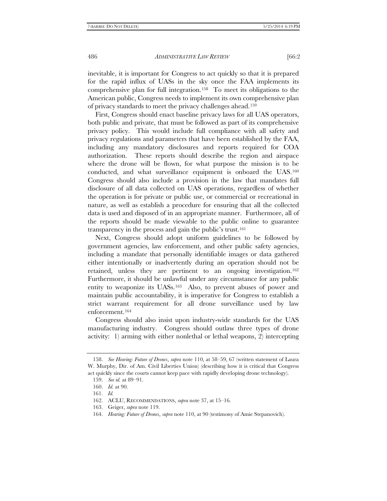inevitable, it is important for Congress to act quickly so that it is prepared for the rapid influx of UASs in the sky once the FAA implements its comprehensive plan for full integration.[158](#page-23-0) To meet its obligations to the American public, Congress needs to implement its own comprehensive plan of privacy standards to meet the privacy challenges ahead.[159](#page-23-1)

First, Congress should enact baseline privacy laws for all UAS operators, both public and private, that must be followed as part of its comprehensive privacy policy. This would include full compliance with all safety and privacy regulations and parameters that have been established by the FAA, including any mandatory disclosures and reports required for COA authorization. These reports should describe the region and airspace where the drone will be flown, for what purpose the mission is to be conducted, and what surveillance equipment is onboard the UAS[.160](#page-23-2)  Congress should also include a provision in the law that mandates full disclosure of all data collected on UAS operations, regardless of whether the operation is for private or public use, or commercial or recreational in nature, as well as establish a procedure for ensuring that all the collected data is used and disposed of in an appropriate manner. Furthermore, all of the reports should be made viewable to the public online to guarantee transparency in the process and gain the public's trust.[161](#page-23-3)

Next, Congress should adopt uniform guidelines to be followed by government agencies, law enforcement, and other public safety agencies, including a mandate that personally identifiable images or data gathered either intentionally or inadvertently during an operation should not be retained, unless they are pertinent to an ongoing investigation[.162](#page-23-4)  Furthermore, it should be unlawful under any circumstance for any public entity to weaponize its UASs.[163](#page-23-5) Also, to prevent abuses of power and maintain public accountability, it is imperative for Congress to establish a strict warrant requirement for all drone surveillance used by law enforcement.[164](#page-23-6)

Congress should also insist upon industry-wide standards for the UAS manufacturing industry. Congress should outlaw three types of drone activity: 1) arming with either nonlethal or lethal weapons, 2) intercepting

<span id="page-23-2"></span><span id="page-23-1"></span><span id="page-23-0"></span><sup>158.</sup> *See Hearing: Future of Drones*, *supra* note 110, at 58–59, 67 (written statement of Laura W. Murphy, Dir. of Am. Civil Liberties Union) (describing how it is critical that Congress act quickly since the courts cannot keep pace with rapidly developing drone technology).

<sup>159.</sup> *See id.* at 89–91.

<sup>160.</sup> *Id.* at 90.

<span id="page-23-3"></span><sup>161.</sup> *Id.*

<span id="page-23-4"></span><sup>162.</sup> ACLU, RECOMMENDATIONS, *supra* note 37, at 15–16.

<span id="page-23-5"></span><sup>163.</sup> Geiger, *supra* note 119.

<span id="page-23-6"></span><sup>164.</sup> *Hearing: Future of Drones*, *supra* note 110, at 90 (testimony of Amie Stepanovich).